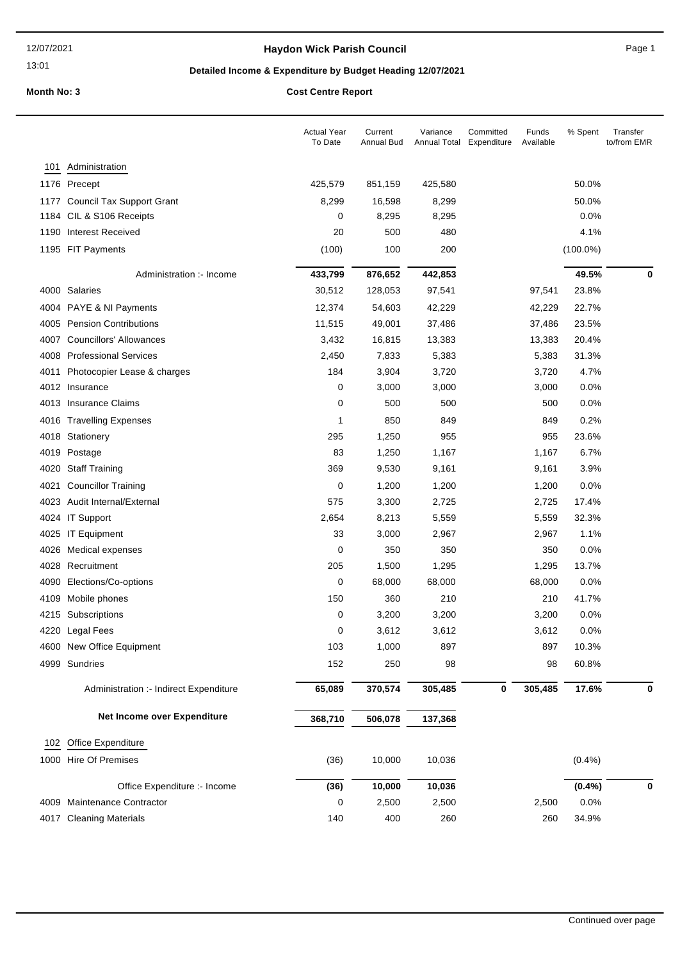13:01

# **Haydon Wick Parish Council Example 20 and Server 20 and Server 20 and Page 1**

# **Detailed Income & Expenditure by Budget Heading 12/07/2021**

|      |                                        | <b>Actual Year</b><br>To Date | Current<br>Annual Bud | Variance<br>Annual Total | Committed<br>Expenditure | Funds<br>Available | % Spent     | Transfer<br>to/from EMR |
|------|----------------------------------------|-------------------------------|-----------------------|--------------------------|--------------------------|--------------------|-------------|-------------------------|
| 101  | Administration                         |                               |                       |                          |                          |                    |             |                         |
|      | 1176 Precept                           | 425,579                       | 851,159               | 425,580                  |                          |                    | 50.0%       |                         |
| 1177 | <b>Council Tax Support Grant</b>       | 8,299                         | 16,598                | 8,299                    |                          |                    | 50.0%       |                         |
| 1184 | CIL & S106 Receipts                    | 0                             | 8,295                 | 8,295                    |                          |                    | 0.0%        |                         |
|      | 1190 Interest Received                 | 20                            | 500                   | 480                      |                          |                    | 4.1%        |                         |
|      | 1195 FIT Payments                      | (100)                         | 100                   | 200                      |                          |                    | $(100.0\%)$ |                         |
|      | Administration :- Income               | 433,799                       | 876,652               | 442,853                  |                          |                    | 49.5%       | 0                       |
|      | 4000 Salaries                          | 30,512                        | 128,053               | 97,541                   |                          | 97,541             | 23.8%       |                         |
| 4004 | PAYE & NI Payments                     | 12,374                        | 54,603                | 42,229                   |                          | 42,229             | 22.7%       |                         |
| 4005 | <b>Pension Contributions</b>           | 11,515                        | 49,001                | 37,486                   |                          | 37,486             | 23.5%       |                         |
| 4007 | <b>Councillors' Allowances</b>         | 3,432                         | 16,815                | 13,383                   |                          | 13,383             | 20.4%       |                         |
| 4008 | <b>Professional Services</b>           | 2,450                         | 7,833                 | 5,383                    |                          | 5,383              | 31.3%       |                         |
| 4011 | Photocopier Lease & charges            | 184                           | 3,904                 | 3,720                    |                          | 3,720              | 4.7%        |                         |
|      | 4012 Insurance                         | 0                             | 3,000                 | 3,000                    |                          | 3,000              | 0.0%        |                         |
|      | 4013 Insurance Claims                  | 0                             | 500                   | 500                      |                          | 500                | 0.0%        |                         |
|      | 4016 Travelling Expenses               | 1                             | 850                   | 849                      |                          | 849                | 0.2%        |                         |
|      | 4018 Stationery                        | 295                           | 1,250                 | 955                      |                          | 955                | 23.6%       |                         |
| 4019 | Postage                                | 83                            | 1,250                 | 1,167                    |                          | 1,167              | 6.7%        |                         |
| 4020 | <b>Staff Training</b>                  | 369                           | 9,530                 | 9,161                    |                          | 9,161              | 3.9%        |                         |
| 4021 | <b>Councillor Training</b>             | 0                             | 1,200                 | 1,200                    |                          | 1,200              | 0.0%        |                         |
|      | 4023 Audit Internal/External           | 575                           | 3,300                 | 2,725                    |                          | 2,725              | 17.4%       |                         |
|      | 4024 IT Support                        | 2,654                         | 8,213                 | 5,559                    |                          | 5,559              | 32.3%       |                         |
|      | 4025 IT Equipment                      | 33                            | 3,000                 | 2,967                    |                          | 2,967              | 1.1%        |                         |
| 4026 | Medical expenses                       | 0                             | 350                   | 350                      |                          | 350                | 0.0%        |                         |
| 4028 | Recruitment                            | 205                           | 1,500                 | 1,295                    |                          | 1,295              | 13.7%       |                         |
| 4090 | Elections/Co-options                   | 0                             | 68,000                | 68,000                   |                          | 68,000             | 0.0%        |                         |
| 4109 | Mobile phones                          | 150                           | 360                   | 210                      |                          | 210                | 41.7%       |                         |
|      | 4215 Subscriptions                     | 0                             | 3,200                 | 3,200                    |                          | 3,200              | 0.0%        |                         |
|      | 4220 Legal Fees                        | 0                             | 3,612                 | 3,612                    |                          | 3,612              | 0.0%        |                         |
|      | 4600 New Office Equipment              | 103                           | 1,000                 | 897                      |                          | 897                | 10.3%       |                         |
|      | 4999 Sundries                          | 152                           | 250                   | 98                       |                          | 98                 | 60.8%       |                         |
|      | Administration :- Indirect Expenditure | 65,089                        | 370,574               | 305,485                  | 0                        | 305,485            | 17.6%       | 0                       |
|      | Net Income over Expenditure            | 368,710                       | 506,078               | 137,368                  |                          |                    |             |                         |
|      |                                        |                               |                       |                          |                          |                    |             |                         |
| 102  | Office Expenditure                     |                               |                       |                          |                          |                    |             |                         |
|      | 1000 Hire Of Premises                  | (36)                          | 10,000                | 10,036                   |                          |                    | (0.4% )     |                         |
|      | Office Expenditure :- Income           | (36)                          | 10,000                | 10,036                   |                          |                    | (0.4% )     | 0                       |
|      | 4009 Maintenance Contractor            | 0                             | 2,500                 | 2,500                    |                          | 2,500              | 0.0%        |                         |
| 4017 | <b>Cleaning Materials</b>              | 140                           | 400                   | 260                      |                          | 260                | 34.9%       |                         |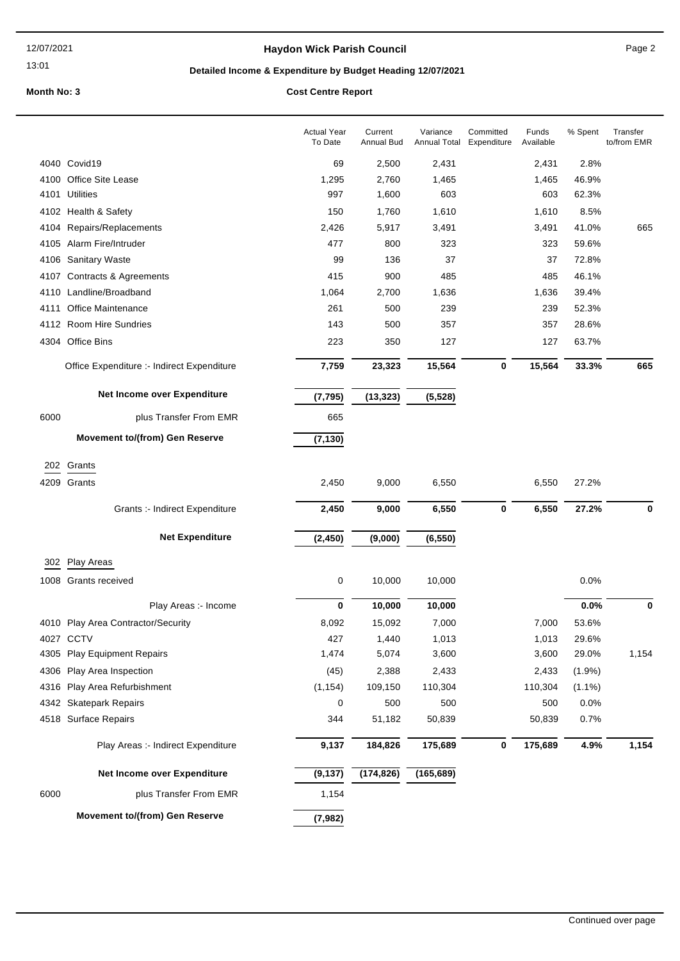13:01

# **Haydon Wick Parish Council Example 2** Page 2

# **Detailed Income & Expenditure by Budget Heading 12/07/2021**

|      |                                            | <b>Actual Year</b><br>To Date | Current<br>Annual Bud | Variance<br><b>Annual Total</b> | Committed<br>Expenditure | Funds<br>Available | % Spent   | Transfer<br>to/from EMR |
|------|--------------------------------------------|-------------------------------|-----------------------|---------------------------------|--------------------------|--------------------|-----------|-------------------------|
|      | 4040 Covid19                               | 69                            | 2,500                 | 2,431                           |                          | 2,431              | 2.8%      |                         |
| 4100 | Office Site Lease                          | 1,295                         | 2,760                 | 1,465                           |                          | 1,465              | 46.9%     |                         |
|      | 4101 Utilities                             | 997                           | 1,600                 | 603                             |                          | 603                | 62.3%     |                         |
|      | 4102 Health & Safety                       | 150                           | 1,760                 | 1,610                           |                          | 1,610              | 8.5%      |                         |
| 4104 | Repairs/Replacements                       | 2,426                         | 5,917                 | 3,491                           |                          | 3,491              | 41.0%     | 665                     |
|      | 4105 Alarm Fire/Intruder                   | 477                           | 800                   | 323                             |                          | 323                | 59.6%     |                         |
| 4106 | <b>Sanitary Waste</b>                      | 99                            | 136                   | 37                              |                          | 37                 | 72.8%     |                         |
|      | 4107 Contracts & Agreements                | 415                           | 900                   | 485                             |                          | 485                | 46.1%     |                         |
| 4110 | Landline/Broadband                         | 1,064                         | 2,700                 | 1,636                           |                          | 1,636              | 39.4%     |                         |
| 4111 | Office Maintenance                         | 261                           | 500                   | 239                             |                          | 239                | 52.3%     |                         |
|      | 4112 Room Hire Sundries                    | 143                           | 500                   | 357                             |                          | 357                | 28.6%     |                         |
|      | 4304 Office Bins                           | 223                           | 350                   | 127                             |                          | 127                | 63.7%     |                         |
|      | Office Expenditure :- Indirect Expenditure | 7,759                         | 23,323                | 15,564                          | 0                        | 15,564             | 33.3%     | 665                     |
|      | Net Income over Expenditure                | (7, 795)                      | (13, 323)             | (5, 528)                        |                          |                    |           |                         |
| 6000 | plus Transfer From EMR                     | 665                           |                       |                                 |                          |                    |           |                         |
|      | <b>Movement to/(from) Gen Reserve</b>      | (7, 130)                      |                       |                                 |                          |                    |           |                         |
|      | 202 Grants                                 |                               |                       |                                 |                          |                    |           |                         |
|      | 4209 Grants                                | 2,450                         | 9,000                 | 6,550                           |                          | 6,550              | 27.2%     |                         |
|      |                                            |                               |                       |                                 |                          |                    |           |                         |
|      | Grants :- Indirect Expenditure             | 2,450                         | 9,000                 | 6,550                           | $\bf{0}$                 | 6,550              | 27.2%     | 0                       |
|      | <b>Net Expenditure</b>                     | (2, 450)                      | (9,000)               | (6, 550)                        |                          |                    |           |                         |
| 302  | <b>Play Areas</b>                          |                               |                       |                                 |                          |                    |           |                         |
|      | 1008 Grants received                       | 0                             | 10,000                | 10,000                          |                          |                    | 0.0%      |                         |
|      | Play Areas :- Income                       | $\mathbf 0$                   | 10,000                | 10,000                          |                          |                    | 0.0%      | 0                       |
|      | 4010 Play Area Contractor/Security         | 8,092                         | 15,092                | 7,000                           |                          | 7,000              | 53.6%     |                         |
|      | 4027 CCTV                                  | 427                           | 1,440                 | 1,013                           |                          | 1,013              | 29.6%     |                         |
|      | 4305 Play Equipment Repairs                | 1,474                         | 5,074                 | 3,600                           |                          | 3,600              | 29.0%     | 1,154                   |
|      | 4306 Play Area Inspection                  | (45)                          | 2,388                 | 2,433                           |                          | 2,433              | (1.9%)    |                         |
|      | 4316 Play Area Refurbishment               | (1, 154)                      | 109,150               | 110,304                         |                          | 110,304            | $(1.1\%)$ |                         |
|      | 4342 Skatepark Repairs                     | 0                             | 500                   | 500                             |                          | 500                | 0.0%      |                         |
|      | 4518 Surface Repairs                       | 344                           | 51,182                | 50,839                          |                          | 50,839             | 0.7%      |                         |
|      | Play Areas :- Indirect Expenditure         | 9,137                         | 184,826               | 175,689                         | 0                        | 175,689            | 4.9%      | 1,154                   |
|      | Net Income over Expenditure                | (9, 137)                      | (174, 826)            | (165, 689)                      |                          |                    |           |                         |
| 6000 | plus Transfer From EMR                     | 1,154                         |                       |                                 |                          |                    |           |                         |
|      | Movement to/(from) Gen Reserve             | (7, 982)                      |                       |                                 |                          |                    |           |                         |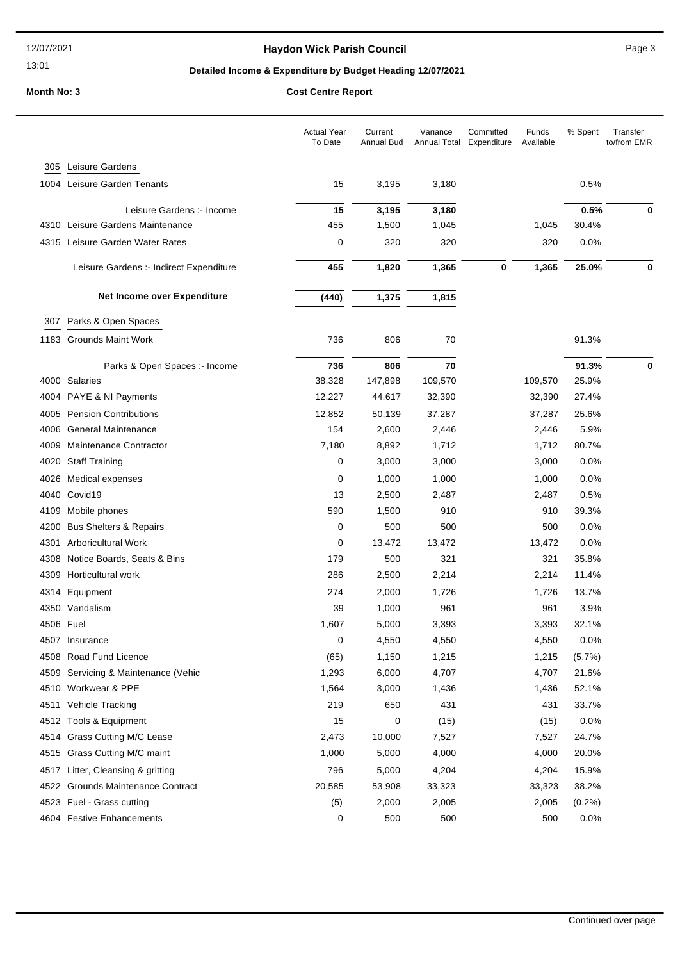#### 12/07/2021

#### 13:01

# Haydon Wick Parish Council **All Accords** Page 3

# **Detailed Income & Expenditure by Budget Heading 12/07/2021**

|           |                                         | <b>Actual Year</b><br>To Date | Current<br>Annual Bud | Variance<br>Annual Total | Committed<br>Expenditure | Funds<br>Available | % Spent   | Transfer<br>to/from EMR |
|-----------|-----------------------------------------|-------------------------------|-----------------------|--------------------------|--------------------------|--------------------|-----------|-------------------------|
| 305       | Leisure Gardens                         |                               |                       |                          |                          |                    |           |                         |
| 1004      | Leisure Garden Tenants                  | 15                            | 3,195                 | 3,180                    |                          |                    | 0.5%      |                         |
|           | Leisure Gardens :- Income               | 15                            | 3,195                 | 3,180                    |                          |                    | 0.5%      | 0                       |
|           | 4310 Leisure Gardens Maintenance        | 455                           | 1,500                 | 1,045                    |                          | 1,045              | 30.4%     |                         |
| 4315      | Leisure Garden Water Rates              | 0                             | 320                   | 320                      |                          | 320                | 0.0%      |                         |
|           | Leisure Gardens :- Indirect Expenditure | 455                           | 1,820                 | 1,365                    | $\bf{0}$                 | 1,365              | 25.0%     | $\bf{0}$                |
|           | Net Income over Expenditure             | (440)                         | 1,375                 | 1,815                    |                          |                    |           |                         |
| 307       | Parks & Open Spaces                     |                               |                       |                          |                          |                    |           |                         |
|           | 1183 Grounds Maint Work                 | 736                           | 806                   | 70                       |                          |                    | 91.3%     |                         |
|           | Parks & Open Spaces :- Income           | 736                           | 806                   | 70                       |                          |                    | 91.3%     | $\bf{0}$                |
|           | 4000 Salaries                           | 38,328                        | 147,898               | 109,570                  |                          | 109,570            | 25.9%     |                         |
|           | 4004 PAYE & NI Payments                 | 12,227                        | 44,617                | 32,390                   |                          | 32,390             | 27.4%     |                         |
| 4005      | <b>Pension Contributions</b>            | 12,852                        | 50,139                | 37,287                   |                          | 37,287             | 25.6%     |                         |
| 4006      | <b>General Maintenance</b>              | 154                           | 2,600                 | 2,446                    |                          | 2,446              | 5.9%      |                         |
| 4009      | Maintenance Contractor                  | 7,180                         | 8,892                 | 1,712                    |                          | 1,712              | 80.7%     |                         |
| 4020      | <b>Staff Training</b>                   | 0                             | 3,000                 | 3,000                    |                          | 3,000              | 0.0%      |                         |
| 4026      | Medical expenses                        | 0                             | 1,000                 | 1,000                    |                          | 1,000              | 0.0%      |                         |
| 4040      | Covid19                                 | 13                            | 2,500                 | 2,487                    |                          | 2,487              | 0.5%      |                         |
| 4109      | Mobile phones                           | 590                           | 1,500                 | 910                      |                          | 910                | 39.3%     |                         |
| 4200      | <b>Bus Shelters &amp; Repairs</b>       | 0                             | 500                   | 500                      |                          | 500                | 0.0%      |                         |
| 4301      | Arboricultural Work                     | 0                             | 13,472                | 13,472                   |                          | 13,472             | 0.0%      |                         |
| 4308      | Notice Boards, Seats & Bins             | 179                           | 500                   | 321                      |                          | 321                | 35.8%     |                         |
| 4309      | Horticultural work                      | 286                           | 2,500                 | 2,214                    |                          | 2,214              | 11.4%     |                         |
| 4314      | Equipment                               | 274                           | 2,000                 | 1,726                    |                          | 1,726              | 13.7%     |                         |
|           | 4350 Vandalism                          | 39                            | 1,000                 | 961                      |                          | 961                | 3.9%      |                         |
| 4506 Fuel |                                         | 1,607                         | 5,000                 | 3,393                    |                          | 3,393              | 32.1%     |                         |
|           | 4507 Insurance                          | 0                             | 4,550                 | 4,550                    |                          | 4,550              | $0.0\%$   |                         |
|           | 4508 Road Fund Licence                  | (65)                          | 1,150                 | 1,215                    |                          | 1,215              | (5.7%)    |                         |
| 4509      | Servicing & Maintenance (Vehic          | 1,293                         | 6,000                 | 4,707                    |                          | 4,707              | 21.6%     |                         |
| 4510      | Workwear & PPE                          | 1,564                         | 3,000                 | 1,436                    |                          | 1,436              | 52.1%     |                         |
| 4511      | Vehicle Tracking                        | 219                           | 650                   | 431                      |                          | 431                | 33.7%     |                         |
|           | 4512 Tools & Equipment                  | 15                            | 0                     | (15)                     |                          | (15)               | 0.0%      |                         |
|           | 4514 Grass Cutting M/C Lease            | 2,473                         | 10,000                | 7,527                    |                          | 7,527              | 24.7%     |                         |
|           | 4515 Grass Cutting M/C maint            | 1,000                         | 5,000                 | 4,000                    |                          | 4,000              | 20.0%     |                         |
|           | 4517 Litter, Cleansing & gritting       | 796                           | 5,000                 | 4,204                    |                          | 4,204              | 15.9%     |                         |
|           | 4522 Grounds Maintenance Contract       | 20,585                        | 53,908                | 33,323                   |                          | 33,323             | 38.2%     |                         |
|           | 4523 Fuel - Grass cutting               | (5)                           | 2,000                 | 2,005                    |                          | 2,005              | $(0.2\%)$ |                         |
|           | 4604 Festive Enhancements               | 0                             | 500                   | 500                      |                          | 500                | 0.0%      |                         |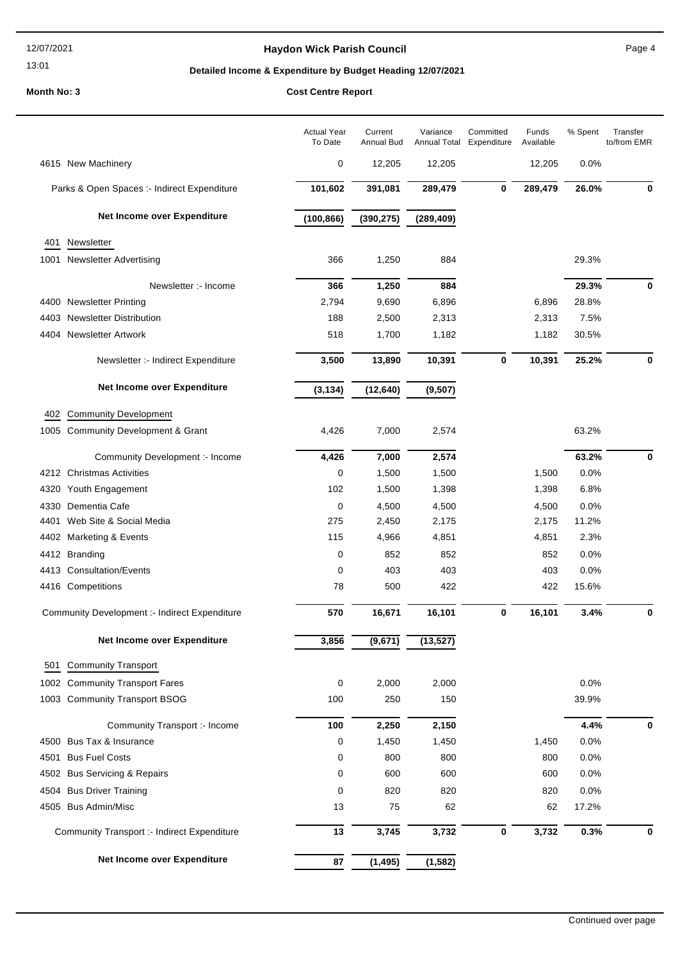12/07/2021

13:01

# **Haydon Wick Parish Council Council** Page 4

# **Detailed Income & Expenditure by Budget Heading 12/07/2021**

|      |                                                      | <b>Actual Year</b><br>To Date | Current<br><b>Annual Bud</b> | Variance<br>Annual Total | Committed<br>Expenditure | Funds<br>Available | % Spent | Transfer<br>to/from EMR |
|------|------------------------------------------------------|-------------------------------|------------------------------|--------------------------|--------------------------|--------------------|---------|-------------------------|
|      | 4615 New Machinery                                   | 0                             | 12,205                       | 12,205                   |                          | 12,205             | 0.0%    |                         |
|      | Parks & Open Spaces :- Indirect Expenditure          | 101,602                       | 391,081                      | 289,479                  | 0                        | 289,479            | 26.0%   | 0                       |
|      | Net Income over Expenditure                          | (100, 866)                    | (390, 275)                   | (289, 409)               |                          |                    |         |                         |
| 401  | Newsletter                                           |                               |                              |                          |                          |                    |         |                         |
|      | 1001 Newsletter Advertising                          | 366                           | 1,250                        | 884                      |                          |                    | 29.3%   |                         |
|      | Newsletter :- Income                                 | 366                           | 1,250                        | 884                      |                          |                    | 29.3%   | 0                       |
|      | 4400 Newsletter Printing                             | 2,794                         | 9,690                        | 6,896                    |                          | 6,896              | 28.8%   |                         |
| 4403 | <b>Newsletter Distribution</b>                       | 188                           | 2,500                        | 2,313                    |                          | 2,313              | 7.5%    |                         |
| 4404 | <b>Newsletter Artwork</b>                            | 518                           | 1,700                        | 1,182                    |                          | 1,182              | 30.5%   |                         |
|      | Newsletter :- Indirect Expenditure                   | 3,500                         | 13,890                       | 10,391                   | 0                        | 10,391             | 25.2%   | 0                       |
|      | Net Income over Expenditure                          | (3, 134)                      | (12, 640)                    | (9, 507)                 |                          |                    |         |                         |
|      | 402 Community Development                            |                               |                              |                          |                          |                    |         |                         |
|      | 1005 Community Development & Grant                   | 4,426                         | 7,000                        | 2,574                    |                          |                    | 63.2%   |                         |
|      | Community Development :- Income                      | 4,426                         | 7,000                        | 2,574                    |                          |                    | 63.2%   | 0                       |
|      | 4212 Christmas Activities                            | 0                             | 1,500                        | 1,500                    |                          | 1,500              | 0.0%    |                         |
| 4320 | Youth Engagement                                     | 102                           | 1,500                        | 1,398                    |                          | 1,398              | 6.8%    |                         |
|      | 4330 Dementia Cafe                                   | 0                             | 4,500                        | 4,500                    |                          | 4,500              | 0.0%    |                         |
| 4401 | Web Site & Social Media                              | 275                           | 2,450                        | 2,175                    |                          | 2,175              | 11.2%   |                         |
|      | 4402 Marketing & Events                              | 115                           | 4,966                        | 4,851                    |                          | 4,851              | 2.3%    |                         |
|      | 4412 Branding                                        | 0                             | 852                          | 852                      |                          | 852                | 0.0%    |                         |
|      | 4413 Consultation/Events                             | 0                             | 403                          | 403                      |                          | 403                | 0.0%    |                         |
|      | 4416 Competitions                                    | 78                            | 500                          | 422                      |                          | 422                | 15.6%   |                         |
|      | <b>Community Development :- Indirect Expenditure</b> | 570                           | 16,671                       | 16,101                   | 0                        | 16,101             | 3.4%    | 0                       |
|      | Net Income over Expenditure                          | 3,856                         | (9,671)                      | (13, 527)                |                          |                    |         |                         |
| 501  | <b>Community Transport</b>                           |                               |                              |                          |                          |                    |         |                         |
|      | 1002 Community Transport Fares                       | 0                             | 2,000                        | 2,000                    |                          |                    | 0.0%    |                         |
|      | 1003 Community Transport BSOG                        | 100                           | 250                          | 150                      |                          |                    | 39.9%   |                         |
|      | Community Transport :- Income                        | 100                           | 2,250                        | 2,150                    |                          |                    | 4.4%    | 0                       |
| 4500 | Bus Tax & Insurance                                  | 0                             | 1,450                        | 1,450                    |                          | 1,450              | 0.0%    |                         |
| 4501 | <b>Bus Fuel Costs</b>                                | 0                             | 800                          | 800                      |                          | 800                | 0.0%    |                         |
|      | 4502 Bus Servicing & Repairs                         | 0                             | 600                          | 600                      |                          | 600                | 0.0%    |                         |
|      | 4504 Bus Driver Training                             | 0                             | 820                          | 820                      |                          | 820                | 0.0%    |                         |
|      | 4505 Bus Admin/Misc                                  | 13                            | 75                           | 62                       |                          | 62                 | 17.2%   |                         |
|      | <b>Community Transport :- Indirect Expenditure</b>   | 13                            | 3,745                        | 3,732                    | 0                        | 3,732              | 0.3%    | 0                       |
|      | Net Income over Expenditure                          | 87                            | (1, 495)                     | (1, 582)                 |                          |                    |         |                         |